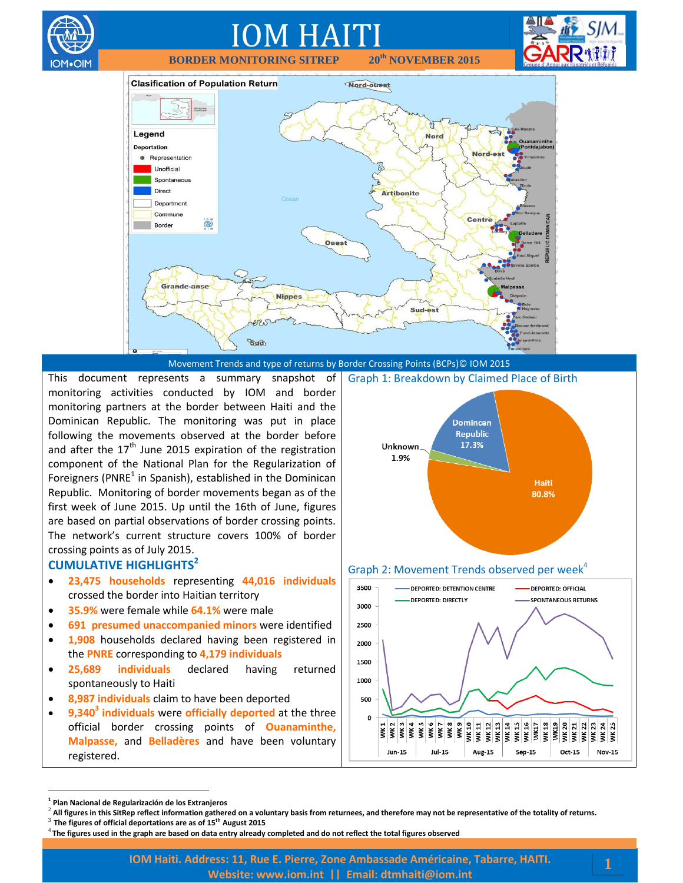

This document represents a summary snapshot of monitoring activities conducted by IOM and border monitoring partners at the border between Haiti and the

Dominican Republic. The monitoring was put in place following the movements observed at the border before and after the  $17<sup>th</sup>$  June 2015 expiration of the registration component of the National Plan for the Regularization of Foreigners (PNRE<sup>1</sup> in Spanish), established in the Dominican Republic. Monitoring of border movements began as of the first week of June 2015. Up until the 16th of June, figures are based on partial observations of border crossing points. The network's current structure covers 100% of border crossing points as of July 2015.

### **CUMULATIVE HIGHLIGHTS<sup>2</sup>**

∩M∙OIN

- **23,475 households** representing **44,016 individuals** crossed the border into Haitian territory
- **35.9%** were female while **64.1%** were male
- **691 presumed unaccompanied minors** were identified
- **1,908** households declared having been registered in the **PNRE** corresponding to **4,179 individuals**
- **25,689 individuals** declared having returned spontaneously to Haiti
- **8,987 individuals** claim to have been deported
- **9,340<sup>3</sup> individuals** were **officially deported** at the three official border crossing points of **Ouanaminthe, Malpasse,** and **Belladères** and have been voluntary registered.





 $\overline{a}$ 

**<sup>1</sup> Plan Nacional de Regularización de los Extranjeros**

<sup>2</sup> **All figures in this SitRep reflect information gathered on a voluntary basis from returnees, and therefore may not be representative of the totality of returns.**

<sup>3</sup> **The figures of official deportations are as of 15th August 2015**

<sup>4</sup> **The figures used in the graph are based on data entry already completed and do not reflect the total figures observed**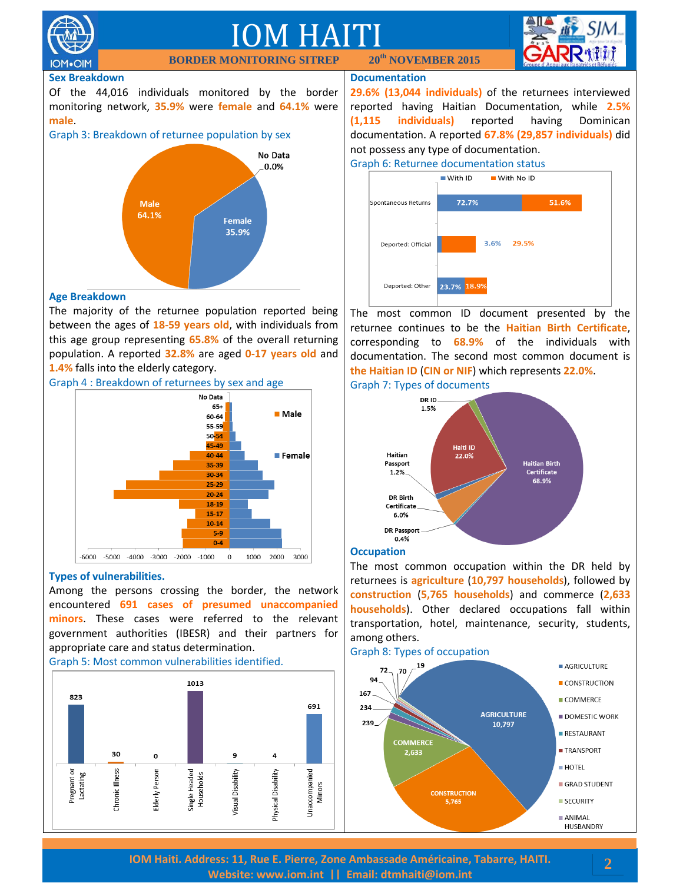

**IOM**.OIM

# IOM HAITI **BORDER MONITORING SITREP 20th NOVEMBER 2015**



#### **Sex Breakdown**

Of the 44,016 individuals monitored by the border monitoring network, **35.9%** were **female** and **64.1%** were **male**.





#### **Age Breakdown**

The majority of the returnee population reported being between the ages of **18-59 years old**, with individuals from this age group representing **65.8%** of the overall returning population. A reported **32.8%** are aged **0-17 years old** and **1.4%** falls into the elderly category.





#### **Types of vulnerabilities.**

Among the persons crossing the border, the network encountered **691 cases of presumed unaccompanied minors**. These cases were referred to the relevant government authorities (IBESR) and their partners for appropriate care and status determination.

Graph 5: Most common vulnerabilities identified.



#### **Documentation**

**29.6% (13,044 individuals)** of the returnees interviewed reported having Haitian Documentation, while **2.5% (1,115 individuals)** reported having Dominican documentation. A reported **67.8% (29,857 individuals)** did not possess any type of documentation.



The most common ID document presented by the returnee continues to be the **Haitian Birth Certificate**, corresponding to **68.9%** of the individuals with documentation. The second most common document is **the Haitian ID** (**CIN or NIF**) which represents **22.0%**. Graph 7: Types of documents



#### **Occupation**

The most common occupation within the DR held by returnees is **agriculture** (**10,797 households**), followed by **construction** (**5,765 households**) and commerce (**2,633 households**). Other declared occupations fall within transportation, hotel, maintenance, security, students, among others.





**IOM Haiti. Address: 11, Rue E. Pierre, Zone Ambassade Américaine, Tabarre, HAITI. Website: [www.iom.int](http://www.iom.int/) || Email: [dtmhaiti@iom.int](mailto:dtmhaiti@iom.int?subject=Border%20Monitoring%20info%20request)**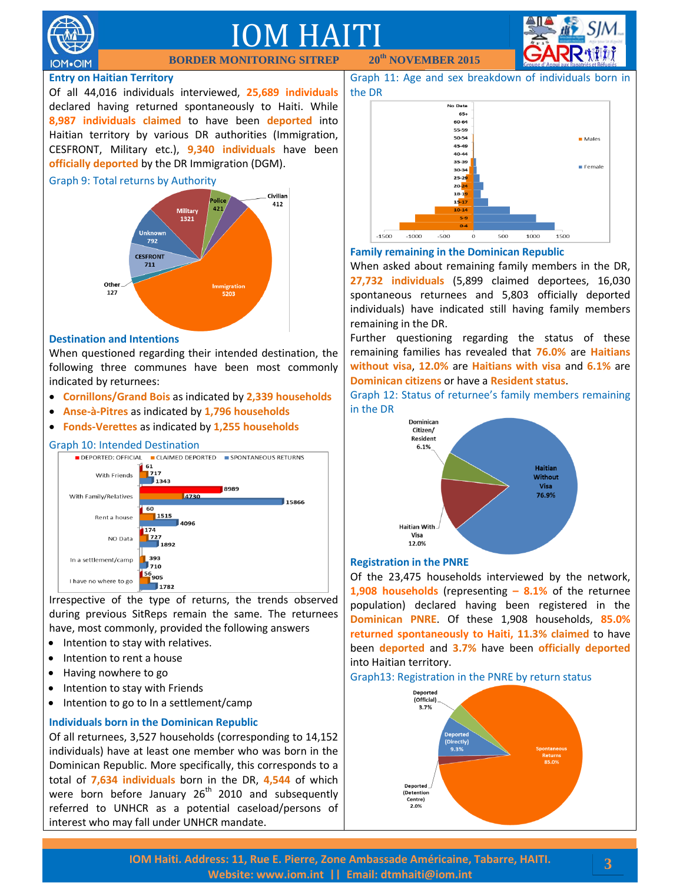

# IOM HAITI

**BORDER MONITORING SITREP 20th NOVEMBER 2015**

#### **Entry on Haitian Territory**

Of all 44,016 individuals interviewed, **25,689 individuals** declared having returned spontaneously to Haiti. While **8,987 individuals claimed** to have been **deported** into Haitian territory by various DR authorities (Immigration, CESFRONT, Military etc.), **9,340 individuals** have been **officially deported** by the DR Immigration (DGM).

#### Graph 9: Total returns by Authority



#### **Destination and Intentions**

When questioned regarding their intended destination, the following three communes have been most commonly indicated by returnees:

- **Cornillons/Grand Bois** as indicated by **2,339 households**
- **Anse-à-Pitres** as indicated by **1,796 households**
- **Fonds-Verettes** as indicated by **1,255 households**

#### Graph 10: Intended Destination



Irrespective of the type of returns, the trends observed during previous SitReps remain the same. The returnees have, most commonly, provided the following answers

- Intention to stay with relatives.
- Intention to rent a house
- Having nowhere to go
- Intention to stay with Friends
- $\bullet$  Intention to go to In a settlement/camp

#### **Individuals born in the Dominican Republic**

Of all returnees, 3,527 households (corresponding to 14,152 individuals) have at least one member who was born in the Dominican Republic. More specifically, this corresponds to a total of **7,634 individuals** born in the DR, **4,544** of which were born before January  $26<sup>th</sup>$  2010 and subsequently referred to UNHCR as a potential caseload/persons of interest who may fall under UNHCR mandate.

Graph 11: Age and sex breakdown of individuals born in the DR



#### **Family remaining in the Dominican Republic**

When asked about remaining family members in the DR, **27,732 individuals** (5,899 claimed deportees, 16,030 spontaneous returnees and 5,803 officially deported individuals) have indicated still having family members remaining in the DR.

Further questioning regarding the status of these remaining families has revealed that **76.0%** are **Haitians without visa**, **12.0%** are **Haitians with visa** and **6.1%** are **Dominican citizens** or have a **Resident status**.

Graph 12: Status of returnee's family members remaining in the DR



#### **Registration in the PNRE**

Of the 23,475 households interviewed by the network, **1,908 households** (representing **– 8.1%** of the returnee population) declared having been registered in the **Dominican PNRE**. Of these 1,908 households, **85.0% returned spontaneously to Haiti, 11.3% claimed** to have been **deported** and **3.7%** have been **officially deported** into Haitian territory.

Graph13: Registration in the PNRE by return status



**3**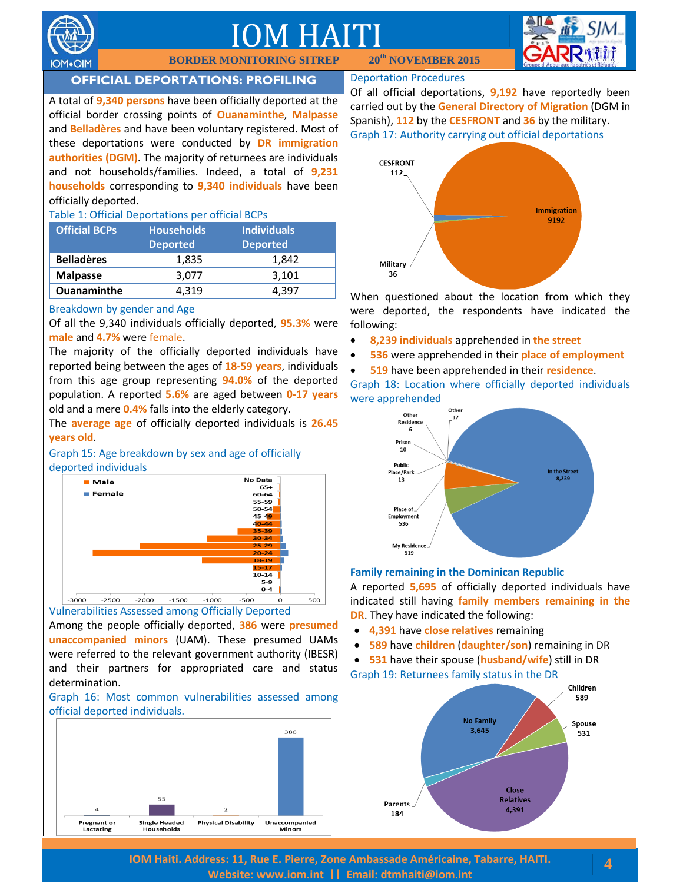

# IOM HAITI

**BORDER MONITORING SITREP 20th NOVEMBER 2015**



## **OFFICIAL DEPORTATIONS: PROFILING**

A total of **9,340 persons** have been officially deported at the official border crossing points of **Ouanaminthe**, **Malpasse** and **Belladères** and have been voluntary registered. Most of these deportations were conducted by **DR immigration authorities (DGM)**. The majority of returnees are individuals and not households/families. Indeed, a total of **9,231 households** corresponding to **9,340 individuals** have been officially deported.

#### Table 1: Official Deportations per official BCPs

| <b>Official BCPs</b> | <b>Households</b><br><b>Deported</b> | <b>Individuals</b><br><b>Deported</b> |
|----------------------|--------------------------------------|---------------------------------------|
| <b>Belladères</b>    | 1,835                                | 1.842                                 |
| <b>Malpasse</b>      | 3.077                                | 3,101                                 |
| <b>Ouanaminthe</b>   | 4.319                                | 4.397                                 |

#### Breakdown by gender and Age

Of all the 9,340 individuals officially deported, **95.3%** were **male** and **4.7%** were female.

The majority of the officially deported individuals have reported being between the ages of **18-59 years**, individuals from this age group representing **94.0%** of the deported population. A reported **5.6%** are aged between **0-17 years** old and a mere **0.4%** falls into the elderly category.

The **average age** of officially deported individuals is **26.45 years old**.

Graph 15: Age breakdown by sex and age of officially deported individuals



Among the people officially deported, **386** were **presumed unaccompanied minors** (UAM). These presumed UAMs were referred to the relevant government authority (IBESR) and their partners for appropriated care and status determination.

Graph 16: Most common vulnerabilities assessed among official deported individuals.



#### Deportation Procedures

Of all official deportations, **9,192** have reportedly been carried out by the **General Directory of Migration** (DGM in Spanish), **112** by the **CESFRONT** and **36** by the military. Graph 17: Authority carrying out official deportations



When questioned about the location from which they were deported, the respondents have indicated the following:

- **8,239 individuals** apprehended in **the street**
- **536** were apprehended in their **place of employment**
- **519** have been apprehended in their **residence**.

Graph 18: Location where officially deported individuals were apprehended



#### **Family remaining in the Dominican Republic**

A reported **5,695** of officially deported individuals have indicated still having **family members remaining in the DR**. They have indicated the following:

- **4,391** have **close relatives** remaining
- **589** have **children** (**daughter/son**) remaining in DR

 **531** have their spouse (**husband/wife**) still in DR Graph 19: Returnees family status in the DR



**IOM Haiti. Address: 11, Rue E. Pierre, Zone Ambassade Américaine, Tabarre, HAITI. Website: [www.iom.int](http://www.iom.int/) || Email: [dtmhaiti@iom.int](mailto:dtmhaiti@iom.int?subject=Border%20Monitoring%20info%20request)**